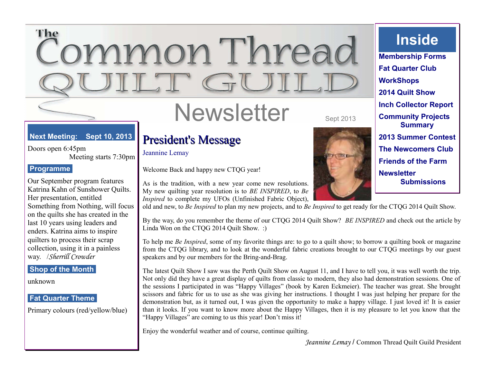## The nmon Threa  $\overline{\mathcal{C}}$

# Newsletter Sept 2013

#### **Next Meeting: Sept 10, 2013**

Doors open 6:45pm Meeting starts 7:30pm

#### **Programme**

Our September program features Katrina Kahn of Sunshower Quilts. Her presentation, entitled Something from Nothing, will focus on the quilts she has created in the last 10 years using leaders and enders. Katrina aims to inspire quilters to process their scrap collection, using it in a painless way. /*Sherrill Crowder*

#### **Shop of the Month**

unknown

#### **Fat Quarter Theme**

Primary colours (red/yellow/blue)

## President's Message

Jeannine Lemay

Welcome Back and happy new CTQG year!

As is the tradition, with a new year come new resolutions. My new quilting year resolution is to *BE INSPIRED*, to *Be Inspired* to complete my UFOs (Unfinished Fabric Object),

old and new, to *Be Inspired* to plan my new projects, and to *Be Inspired* to get ready for the CTQG 2014 Quilt Show.

By the way, do you remember the theme of our CTQG 2014 Quilt Show? *BE INSPIRED* and check out the article by Linda Won on the CTQG 2014 Quilt Show. :)

To help me *Be Inspired*, some of my favorite things are: to go to a quilt show; to borrow a quilting book or magazine from the CTQG library, and to look at the wonderful fabric creations brought to our CTQG meetings by our guest speakers and by our members for the Bring-and-Brag.

The latest Quilt Show I saw was the Perth Quilt Show on August 11, and I have to tell you, it was well worth the trip. Not only did they have a great display of quilts from classic to modern, they also had demonstration sessions. One of the sessions I participated in was "Happy Villages" (book by Karen Eckmeier). The teacher was great. She brought scissors and fabric for us to use as she was giving her instructions. I thought I was just helping her prepare for the demonstration but, as it turned out, I was given the opportunity to make a happy village. I just loved it! It is easier than it looks. If you want to know more about the Happy Villages, then it is my pleasure to let you know that the "Happy Villages" are coming to us this year! Don't miss it!

Enjoy the wonderful weather and of course, continue quilting.



**Inside**

**Membership Forms Fat Quarter Club WorkShops 2014 Quilt Show Inch Collector Report Community Projects Summary 2013 Summer Contest The Newcomers Club Friends of the Farm Newsletter Submissions**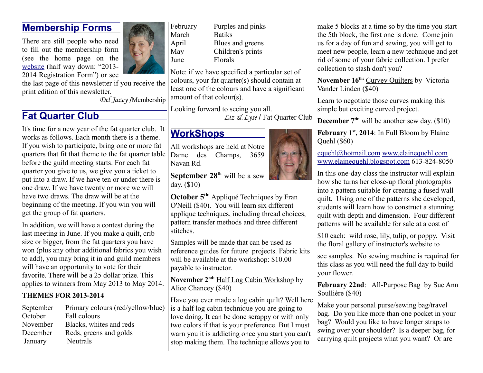## **Membership Forms**

There are still people who need to fill out the membership form (see the home page on the [website](http://www.commonthread.on.ca/index.html) (half way down: "2013- 2014 Registration Form") or see



the last page of this newsletter if you receive the print edition of this newsletter.

*Del Jazey* /Membership

## **Fat Quarter Club**

It's time for a new year of the fat quarter club. It works as follows. Each month there is a theme. If you wish to participate, bring one or more fat quarters that fit that theme to the fat quarter table before the guild meeting starts. For each fat quarter you give to us, we give you a ticket to put into a draw. If we have ten or under there is one draw. If we have twenty or more we will have two draws. The draw will be at the beginning of the meeting. If you win you will get the group of fat quarters.

In addition, we will have a contest during the last meeting in June. If you make a quilt, crib size or bigger, from the fat quarters you have won (plus any other additional fabrics you wish to add), you may bring it in and guild members will have an opportunity to vote for their favorite. There will be a 25 dollar prize. This applies to winners from May 2013 to May 2014.

#### **THEMES FOR 2013-2014**

| September | Primary colours (red/yellow/blue) |
|-----------|-----------------------------------|
| October   | Fall colours                      |
| November  | Blacks, whites and reds           |
| December  | Reds, greens and golds            |
| January   | <b>Neutrals</b>                   |

March Batiks June Florals

February Purples and pinks April Blues and greens May Children's prints

Note: if we have specified a particular set of colours, your fat quarter(s) should contain at least one of the colours and have a significant amount of that colour(s).

Looking forward to seeing you all. *Liz & Lyse* / Fat Quarter Club

## **WorkShops**

All workshops are held at Notre Dame des Champs, 3659 Navan Rd.

**September 28th** will be a sew day. (\$10)

**October 5th:** Appliqué Techniques by Fran O'Neill (\$40). You will learn six different applique techniques, including thread choices, pattern transfer methods and three different stitches.

Samples will be made that can be used as reference guides for future projects. Fabric kits will be available at the workshop:  $$10.00$ payable to instructor.

**November 2nd:** Half Log Cabin Workshop by Alice Chancey (\$40)

Have you ever made a log cabin quilt? Well here e) is a half log cabin technique you are going to love doing. It can be done scrappy or with only two colors if that is your preference. But I must warn you it is addicting once you start you can't stop making them. The technique allows you to

make 5 blocks at a time so by the time you start the 5th block, the first one is done. Come join us for a day of fun and sewing, you will get to meet new people, learn a new technique and get rid of some of your fabric collection. I prefer collection to stash don't you?

**November 16th:** Curvey Quilters by Victoria Vander Linden (\$40)

Learn to negotiate those curves making this simple but exciting curved project.

**December 7th:** will be another sew day. (\$10)

**February 1st, 2014**: In Full Bloom by Elaine Quehl (\$60)

[equehl@hotmail.com](mailto:equehl@hotmail.com) [www.elainequehl.com](http://www.elainequehl.com/)  [www.elainequehl.blogspot.com](http://www.elainequehl.blogspot.com/) 613-824-8050

In this one-day class the instructor will explain how she turns her close-up floral photographs into a pattern suitable for creating a fused wall quilt. Using one of the patterns she developed, students will learn how to construct a stunning quilt with depth and dimension. Four different patterns will be available for sale at a cost of

\$10 each: wild rose, lily, tulip, or poppy. Visit the floral gallery of instructor's website to

see samples. No sewing machine is required for this class as you will need the full day to build your flower.

February 22nd: All-Purpose Bag by Sue Ann Soullière (\$40)

Make your personal purse/sewing bag/travel bag. Do you like more than one pocket in your bag? Would you like to have longer straps to swing over your shoulder? Is a deeper bag, for carrying quilt projects what you want? Or are

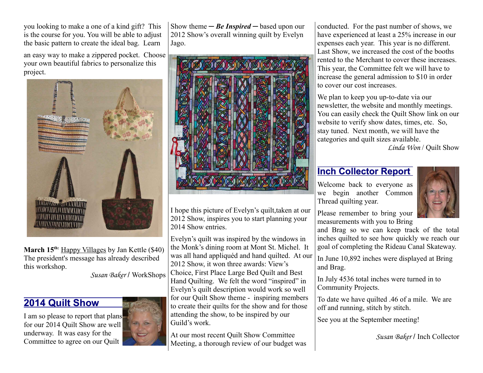you looking to make a one of a kind gift? This is the course for you. You will be able to adjust the basic pattern to create the ideal bag. Learn

an easy way to make a zippered pocket. Choose your own beautiful fabrics to personalize this project.



**March 15th:** Happy Villages by Jan Kettle (\$40) The president's message has already described this workshop.

*Susan Baker* / WorkShops

## **2014 Quilt Show**

I am so please to report that plans for our 2014 Quilt Show are well underway. It was easy for the Committee to agree on our Quilt



Show theme  $-$  *Be Inspired*  $-$  based upon our 2012 Show's overall winning quilt by Evelyn Jago.



I hope this picture of Evelyn's quilt,taken at our 2012 Show, inspires you to start planning your 2014 Show entries.

Evelyn's quilt was inspired by the windows in the Monk's dining room at Mont St. Michel. It was all hand appliquéd and hand quilted. At our 2012 Show, it won three awards: View's Choice, First Place Large Bed Quilt and Best Hand Quilting. We felt the word "inspired" in Evelyn's quilt description would work so well for our Quilt Show theme - inspiring members to create their quilts for the show and for those attending the show, to be inspired by our Guild's work.

At our most recent Quilt Show Committee Meeting, a thorough review of our budget was conducted. For the past number of shows, we have experienced at least a 25% increase in our expenses each year. This year is no different. Last Show, we increased the cost of the booths rented to the Merchant to cover these increases. This year, the Committee felt we will have to increase the general admission to \$10 in order to cover our cost increases.

We plan to keep you up-to-date via our newsletter, the website and monthly meetings. You can easily check the Quilt Show link on our website to verify show dates, times, etc. So, stay tuned. Next month, we will have the categories and quilt sizes available.

*Linda Won* / Quilt Show

## **Inch Collector Report**

Welcome back to everyone as we begin another Common Thread quilting year.



Please remember to bring your measurements with you to Bring

and Brag so we can keep track of the total inches quilted to see how quickly we reach our goal of completing the Rideau Canal Skateway.

In June 10,892 inches were displayed at Bring and Brag.

In July 4536 total inches were turned in to Community Projects.

To date we have quilted .46 of a mile. We are off and running, stitch by stitch.

See you at the September meeting!

*Susan Baker* / Inch Collector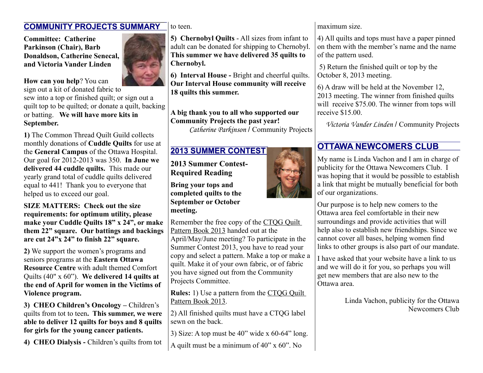#### **COMMUNITY PROJECTS SUMMARY**

**Committee: Catherine Parkinson (Chair), Barb Donaldson, Catherine Senecal, and Victoria Vander Linden**

#### **How can you help**? You can

sign out a kit of donated fabric to sew into a top or finished quilt; or sign out a quilt top to be quilted; or donate a quilt, backing or batting. **We will have more kits in September.** 

**1)** The Common Thread Quilt Guild collects monthly donations of **Cuddle Quilts** for use at the **General Campus** of the Ottawa Hospital. Our goal for 2012-2013 was 350. **In June we delivered 44 cuddle quilts.** This made our yearly grand total of cuddle quilts delivered equal to 441! Thank you to everyone that helped us to exceed our goal.

**SIZE MATTERS: Check out the size requirements: for optimum utility, please make your Cuddle Quilts 18" x 24", or make them 22" square. Our battings and backings are cut 24"x 24" to finish 22" square.** 

**2)** We support the women's programs and seniors programs at the **Eastern Ottawa Resource Centre** with adult themed Comfort Quilts (40" x 60"). **We delivered 14 quilts at the end of April for women in the Victims of Violence program.**

**3) CHEO Children's Oncology –** Children's quilts from tot to teen**. This summer, we were able to deliver 12 quilts for boys and 8 quilts for girls for the young cancer patients.**

**4) CHEO Dialysis -** Children's quilts from tot

to teen.

**5) Chernobyl Quilts** - All sizes from infant to adult can be donated for shipping to Chernobyl. **This summer we have delivered 35 quilts to Chernobyl.**

**6) Interval House -** Bright and cheerful quilts. **Our Interval House community will receive 18 quilts this summer.**

**A big thank you to all who supported our Community Projects the past year!** *Catherine Parkinson* / Community Projects

## **2013 SUMMER CONTEST**

**2013 Summer Contest-Required Reading**

**Bring your tops and completed quilts to the September or October meeting.** 

Remember the free copy of the CTQG Quilt Pattern Book 2013 handed out at the

April/May/June meeting? To participate in the Summer Contest 2013, you have to read your copy and select a pattern. Make a top or make a quilt. Make it of your own fabric, or of fabric you have signed out from the Community Projects Committee.

**Rules:** 1) Use a pattern from the CTQG Quilt Pattern Book 2013.

2) All finished quilts must have a CTQG label sewn on the back.

3) Size: A top must be 40" wide x 60-64" long.

A quilt must be a minimum of 40" x 60". No



4) All quilts and tops must have a paper pinned on them with the member's name and the name of the pattern used.

 5) Return the finished quilt or top by the October 8, 2013 meeting.

6) A draw will be held at the November 12, 2013 meeting. The winner from finished quilts will receive \$75.00. The winner from tops will receive \$15.00.

*Victoria Vander Linden* / Community Projects

## **OTTAWA NEWCOMERS CLUB**

My name is Linda Vachon and I am in charge of publicity for the Ottawa Newcomers Club. I was hoping that it would be possible to establish a link that might be mutually beneficial for both of our organizations.

Our purpose is to help new comers to the Ottawa area feel comfortable in their new surroundings and provide activities that will help also to establish new friendships. Since we cannot cover all bases, helping women find links to other groups is also part of our mandate.

I have asked that your website have a link to us and we will do it for you, so perhaps you will get new members that are also new to the Ottawa area.

> Linda Vachon, publicity for the Ottawa Newcomers Club